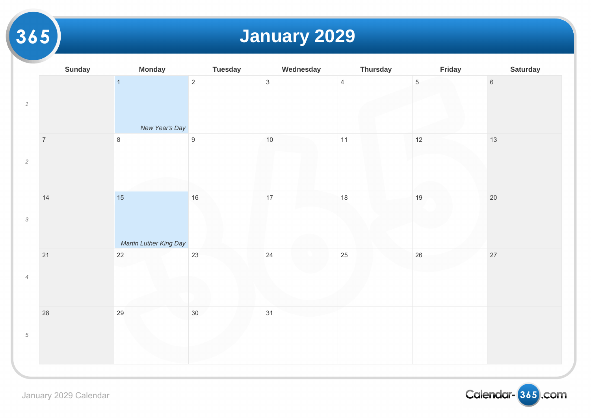## **January 2029**

|                | <b>Sunday</b>  | <b>Monday</b>                    | <b>Tuesday</b>   | Wednesday    | <b>Thursday</b> |                 |
|----------------|----------------|----------------------------------|------------------|--------------|-----------------|-----------------|
| $\it 1$        |                | $\overline{1}$<br>New Year's Day | $\overline{2}$   | $\mathbf{3}$ | $\overline{4}$  | $5\phantom{.0}$ |
| $\sqrt{2}$     | $\overline{7}$ | $\,8\,$                          | $\boldsymbol{9}$ | $10$         | 11              | 12              |
| $\sqrt{3}$     | 14             | 15<br>Martin Luther King Day     | 16               | 17           | 18              | 19              |
| $\overline{4}$ | 21             | $22\,$                           | 23               | 24           | 25              | $26\,$          |
| $\sqrt{5}$     | 28             | 29                               | $30\,$           | 31           |                 |                 |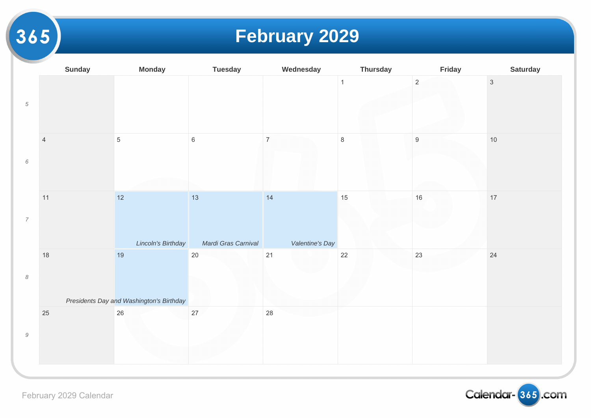# **February 2029**

|                                                           | <b>Sunday</b>  | <b>Monday</b>                                  | <b>Tuesday</b>            | Wednesday             | <b>Thursday</b> |                |
|-----------------------------------------------------------|----------------|------------------------------------------------|---------------------------|-----------------------|-----------------|----------------|
| $\overline{5}$                                            |                |                                                |                           |                       | $\mathbf{1}$    | $\overline{2}$ |
| $\epsilon$                                                | $\overline{4}$ | $5\phantom{.0}$                                | $\,6\,$                   | $\overline{7}$        | $\,8\,$         | $9\,$          |
| $\boldsymbol{7}$                                          | 11             | $12$<br>Lincoln's Birthday                     | 13<br>Mardi Gras Carnival | 14<br>Valentine's Day | 15              | $16$           |
| $\boldsymbol{\mathcal{S}}$                                | $18$           | 19<br>Presidents Day and Washington's Birthday | $20\,$                    | 21                    | $22\,$          | 23             |
| $\mathcal{G}% _{M_{1},M_{2}}^{\alpha,\beta}(\varepsilon)$ | $25\,$         | 26                                             | $27\,$                    | 28                    |                 |                |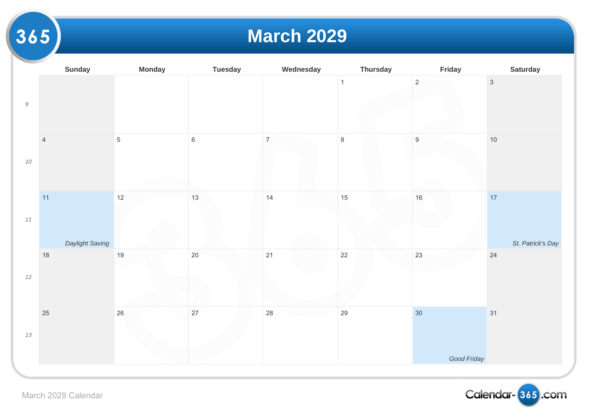#### **March 2029**

|           | <b>Sunday</b>           | <b>Monday</b>   | <b>Tuesday</b> | Wednesday      | <b>Thursday</b> |                |
|-----------|-------------------------|-----------------|----------------|----------------|-----------------|----------------|
| $\cal{G}$ |                         |                 |                |                | $\mathbf{1}$    | $\overline{2}$ |
| $10\,$    | $\sqrt{4}$              | $5\phantom{.0}$ | $\,6\,$        | $\overline{7}$ | $\,8\,$         | $9\,$          |
| $11$      | $11$<br>Daylight Saving | 12              | 13             | 14             | 15              | $16\,$         |
| $12\,$    | $18$                    | $19$            | $20\,$         | 21             | 22              | 23             |
| $13\,$    | 25                      | $26\,$          | 27             | 28             | 29              | 30             |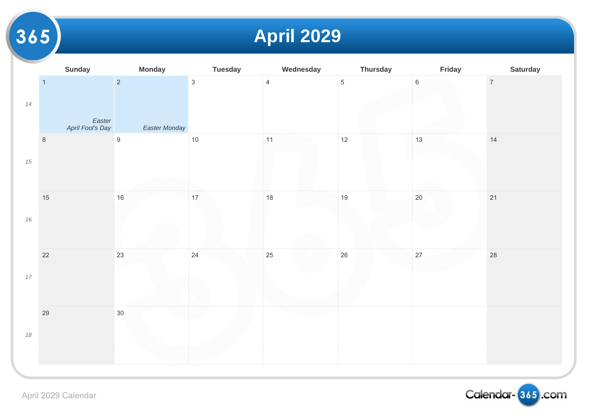**April 2029**

|        | <b>Sunday</b>                                | <b>Monday</b>                   | <b>Tuesday</b> | Wednesday      | <b>Thursday</b> |         |
|--------|----------------------------------------------|---------------------------------|----------------|----------------|-----------------|---------|
| $14\,$ | $\overline{1}$<br>Easter<br>April Fool's Day | $\overline{2}$<br>Easter Monday | $\mathbf{3}$   | $\overline{4}$ | $\overline{5}$  | $\,6\,$ |
| $15\,$ | $\,8\,$                                      | $\boldsymbol{9}$                | $10$           | $11$           | $12$            | 13      |
| $16\,$ | $15\,$                                       | $16\,$                          | 17             | $18$           | $19$            | $20\,$  |
| $17\,$ | $22\,$                                       | 23                              | 24             | 25             | $26\,$          | 27      |
| $18\,$ | 29                                           | $30\,$                          |                |                |                 |         |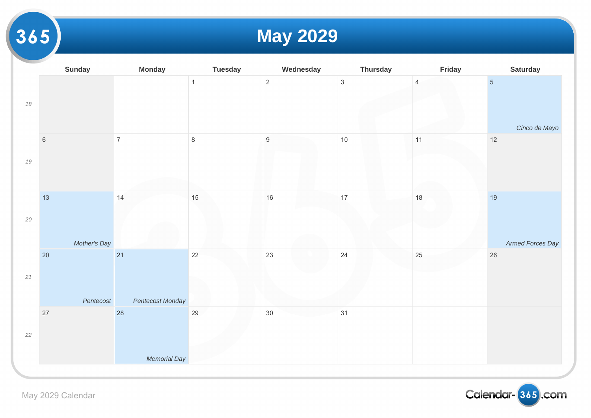## **May 2029**

| $\overline{2}$<br>$\mathfrak{S}$<br>$\mathbf{1}$<br>$\overline{4}$<br>$18\,$       |
|------------------------------------------------------------------------------------|
|                                                                                    |
| $\,8\,$<br>$\boldsymbol{9}$<br>$\overline{7}$<br>$10$<br>11<br>$\,$ 6 $\,$<br>$19$ |
| 15<br>16<br>13<br>17<br>18<br>14<br>$20\,$<br>Mother's Day                         |
| 22<br>23<br>21<br>24<br>25<br>20<br>$21$<br>Pentecost<br>Pentecost Monday          |
| 27<br>28<br>29<br>30<br>31<br>$22\,$                                               |
| Memorial Day                                                                       |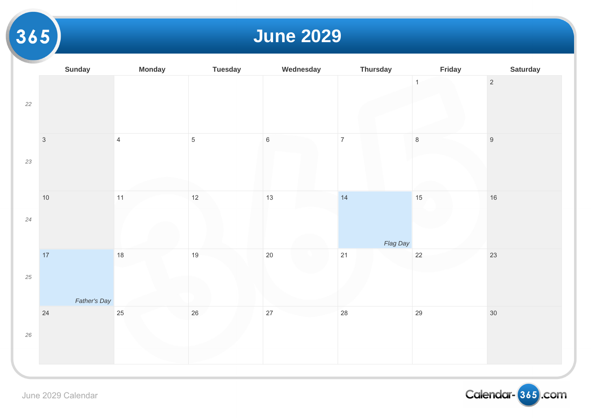#### **June 2029**

|        | <b>Sunday</b> | <b>Monday</b>  | <b>Tuesday</b> | Wednesday   | <b>Thursday</b> |              |
|--------|---------------|----------------|----------------|-------------|-----------------|--------------|
| $22\,$ |               |                |                |             |                 | $\mathbf{1}$ |
| 23     | $\sqrt{3}$    | $\overline{4}$ | $\sqrt{5}$     | $\,$ 6 $\,$ | $\overline{7}$  | $\,$ 8 $\,$  |
|        |               |                |                |             |                 |              |
| $24\,$ | $10$          | $11$           | 12             | 13          | 14              | 15           |
|        |               |                |                |             | Flag Day        |              |
|        | $17$          | $18\,$         | $19$           | 20          | $21$            | $22\,$       |
| 25     |               |                |                |             |                 |              |
|        | Father's Day  |                |                |             |                 |              |
| $26\,$ | $24\,$        | 25             | 26             | $27\,$      | 28              | 29           |
|        |               |                |                |             |                 |              |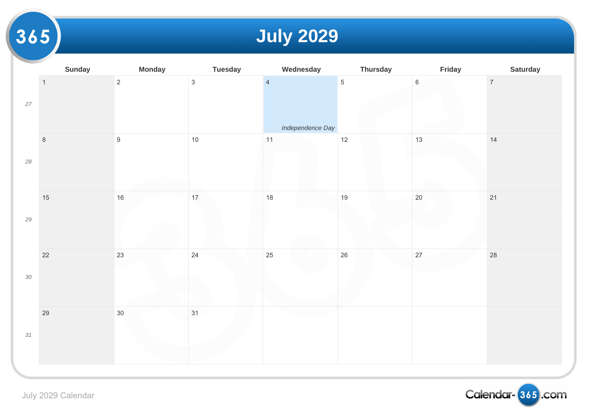## **July 2029**

|        | <b>Sunday</b>  | <b>Monday</b>    | <b>Tuesday</b> | Wednesday                          | <b>Thursday</b> |        |
|--------|----------------|------------------|----------------|------------------------------------|-----------------|--------|
| $27\,$ | $\overline{1}$ | $\overline{2}$   | $\mathbf{3}$   | $\overline{4}$<br>Independence Day | $\overline{5}$  | $6\,$  |
| $28\,$ | $\,8\,$        | $\boldsymbol{9}$ | 10             | $11$                               | 12              | 13     |
| $29\,$ | 15             | $16\,$           | $17$           | 18                                 | 19              | $20\,$ |
| $30\,$ | 22             | 23               | 24             | 25                                 | $26\,$          | 27     |
| $31\,$ | 29             | $30\,$           | 31             |                                    |                 |        |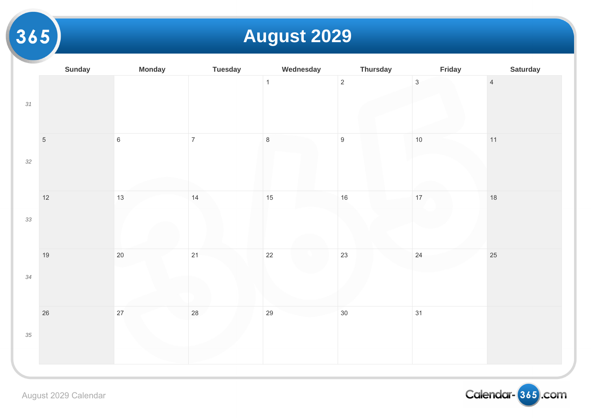## **August 2029**

|        | <b>Sunday</b> | <b>Monday</b> | <b>Tuesday</b> | Wednesday      | <b>Thursday</b>  |              |
|--------|---------------|---------------|----------------|----------------|------------------|--------------|
| 31     |               |               |                | $\overline{1}$ | $\overline{2}$   | $\mathbf{3}$ |
| $32\,$ | $\sqrt{5}$    | $\,6\,$       | $\overline{7}$ | $\,8\,$        | $\boldsymbol{9}$ | $10$         |
| 33     | $12$          | 13            | 14             | 15             | 16               | 17           |
| $34\,$ | 19            | $20\,$        | 21             | 22             | 23               | 24           |
| $35\,$ | 26            | 27            | 28             | 29             | $30\,$           | 31           |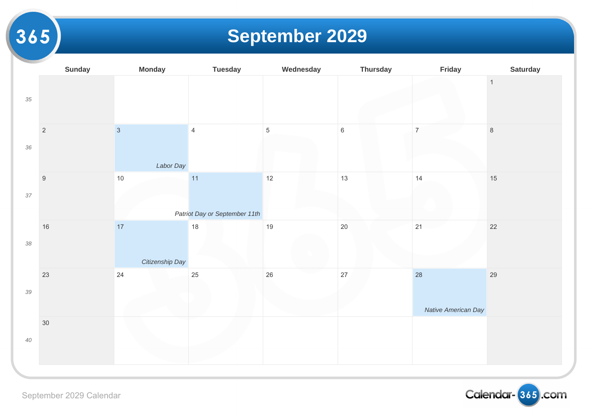## **September 2029**

|        | <b>Sunday</b>    | <b>Monday</b>               | <b>Tuesday</b>                      | Wednesday   | <b>Thursday</b> |                    |
|--------|------------------|-----------------------------|-------------------------------------|-------------|-----------------|--------------------|
| $35\,$ |                  |                             |                                     |             |                 |                    |
| $36\,$ | $\sqrt{2}$       | $\overline{3}$<br>Labor Day | $\overline{4}$                      | $\,$ 5 $\,$ | $\,6\,$         | $\overline{7}$     |
| 37     | $\boldsymbol{9}$ | $10$                        | 11<br>Patriot Day or September 11th | $12$        | 13              | 14                 |
| $38\,$ | 16               | 17<br>Citizenship Day       | $18$                                | 19          | 20              | 21                 |
| $39\,$ | 23               | $24\,$                      | 25                                  | 26          | 27              | 28<br>$\mathcal N$ |
| $40\,$ | $30\,$           |                             |                                     |             |                 |                    |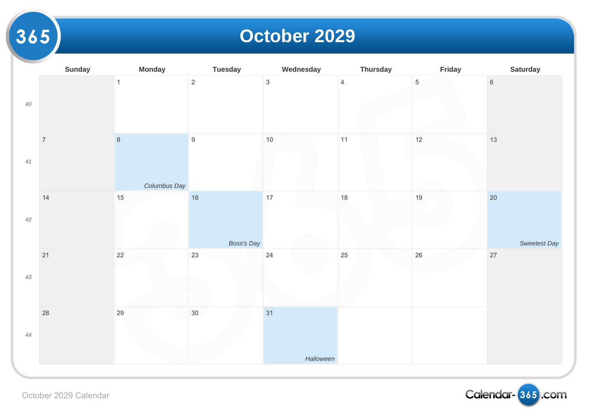#### **October 2029**

|        | <b>Sunday</b>    | <b>Monday</b>           | <b>Tuesday</b>   | Wednesday       | <b>Thursday</b> |                 |
|--------|------------------|-------------------------|------------------|-----------------|-----------------|-----------------|
| $40\,$ |                  | $\mathbf{1}$            | $\overline{2}$   | $\mathbf{3}$    | $\overline{4}$  | $5\phantom{.0}$ |
| $41$   | $\boldsymbol{7}$ | $\,8\,$<br>Columbus Day | $\boldsymbol{9}$ | $10$            | 11              | 12              |
| $42\,$ | 14               | $15\,$                  | 16<br>Boss's Day | $17$            | $18$            | 19              |
| $43\,$ | 21               | 22                      | 23               | 24              | 25              | $26\,$          |
| $44$   | $28\,$           | $29\,$                  | 30 <sub>o</sub>  | 31<br>Halloween |                 |                 |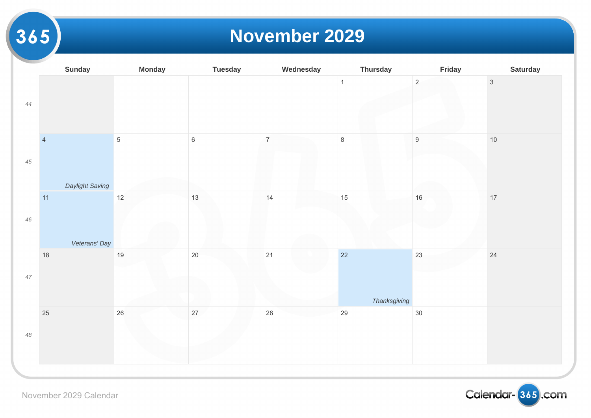#### **November 2029**

|        | <b>Sunday</b>   | <b>Monday</b> | <b>Tuesday</b> | Wednesday      | <b>Thursday</b> |                  |
|--------|-----------------|---------------|----------------|----------------|-----------------|------------------|
| $44\,$ |                 |               |                |                | $\mathbf{1}$    | $\overline{2}$   |
| $45\,$ | $\overline{4}$  | $\sqrt{5}$    | $\,6\,$        | $\overline{7}$ | $\,8\,$         | $\boldsymbol{9}$ |
|        | Daylight Saving |               |                |                |                 |                  |
| $46\,$ | $11$            | 12            | 13             | 14             | 15              | 16               |
|        | Veterans' Day   |               |                |                |                 |                  |
|        | $18$            | $19$          | $20\,$         | 21             | 22              | 23               |
| $47\,$ |                 |               |                |                | Thanksgiving    |                  |
| $48\,$ | $25\,$          | $26\,$        | 27             | 28             | 29              | $30\,$           |
|        |                 |               |                |                |                 |                  |